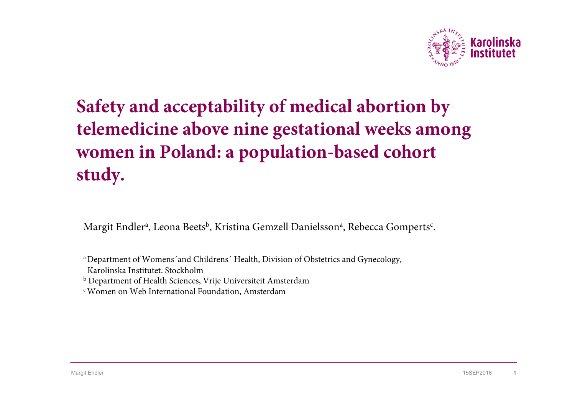

# **Safety and acceptability of medical abortion by telemedicine above nine gestational weeks among women in Poland: a population-based cohort study.**

Margit Endlerª, Leona Beets<sup>b</sup>, Kristina Gemzell Danielssonª, Rebecca Gomperts<sup>c</sup>.

a Department of Womens´and Childrens´ Health, Division of Obstetrics and Gynecology,

Karolinska Institutet. Stockholm

b Department of Health Sciences, Vrije Universiteit Amsterdam

c Women on Web International Foundation, Amsterdam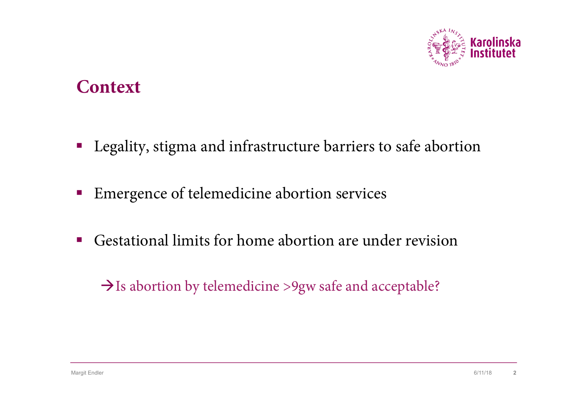

### **Context**

- Legality, stigma and infrastructure barriers to safe abortion
- Emergence of telemedicine abortion services
- Gestational limits for home abortion are under revision

#### $\rightarrow$ Is abortion by telemedicine >9gw safe and acceptable?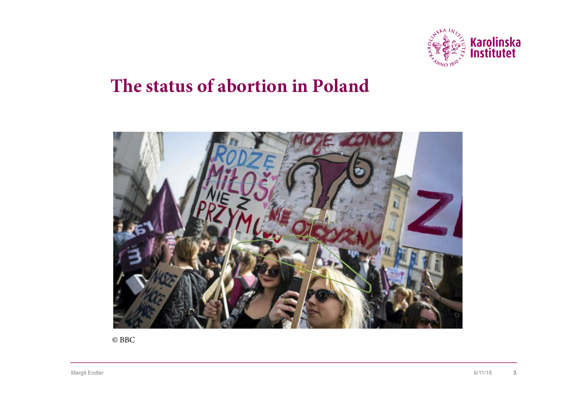

### **The status of abortion in Poland**



© BBC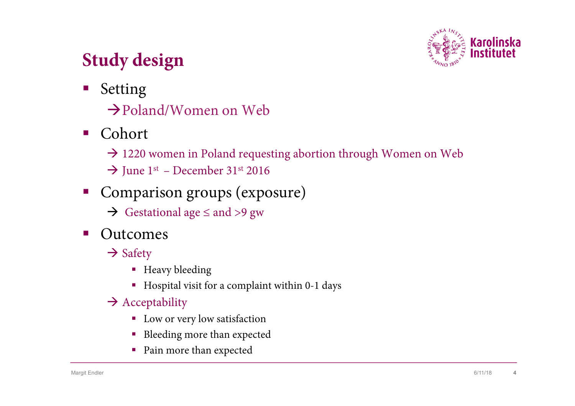

# **Study design**

- § Setting
	- $\rightarrow$ Poland/Women on Web
- Cohort
	- $\rightarrow$  1220 women in Poland requesting abortion through Women on Web
	- $\rightarrow$  June 1st December 31st 2016
- § Comparison groups (exposure)
	- $\rightarrow$  Gestational age  $\leq$  and  $>9$  gw
- Outcomes
	- $\rightarrow$  Safety
		- Heavy bleeding
		- § Hospital visit for a complaint within 0-1 days
	- $\rightarrow$  Acceptability
		- Low or very low satisfaction
		- Bleeding more than expected
		- Pain more than expected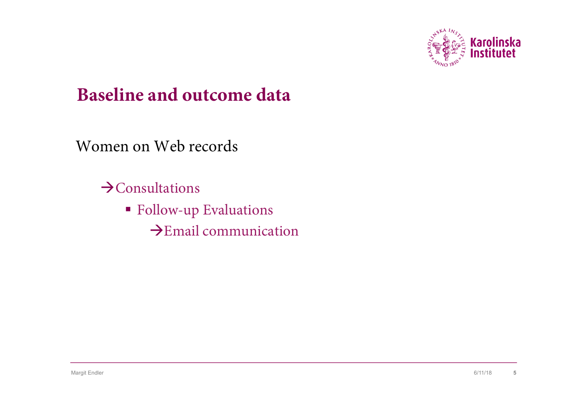

### **Baseline and outcome data**

Women on Web records

 $\rightarrow$ Consultations

- Follow-up Evaluations
	- $\rightarrow$ Email communication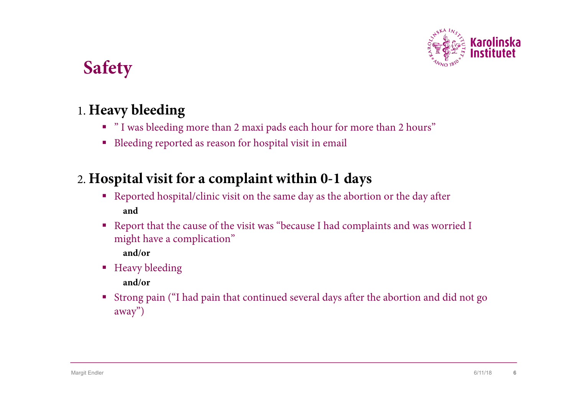

# **Safety**

#### 1. **Heavy bleeding**

- § " I was bleeding more than 2 maxi pads each hour for more than 2 hours"
- Bleeding reported as reason for hospital visit in email

#### 2. **Hospital visit for a complaint within 0-1 days**

- § Reported hospital/clinic visit on the same day as the abortion or the day after **and**
- Report that the cause of the visit was "because I had complaints and was worried I might have a complication" **and/or**
- Heavy bleeding

**and/or** 

§ Strong pain ("I had pain that continued several days after the abortion and did not go away")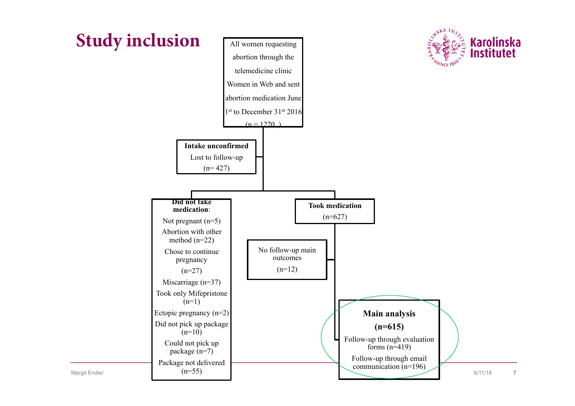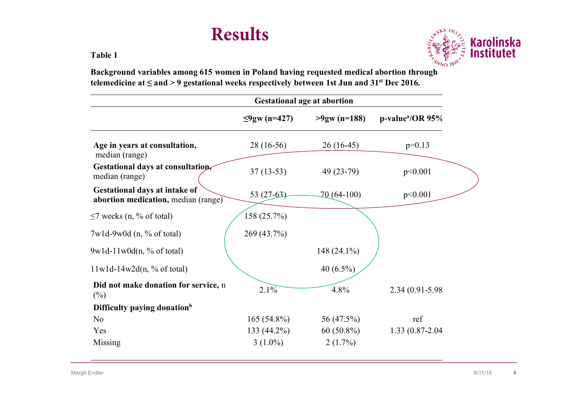### **Results**

**Table 1**



**Background variables among 615 women in Poland having requested medical abortion through telemedicine at ≤ and > 9 gestational weeks respectively between 1st Jun and 31st Dec 2016.**

|                                                                             | <b>Gestational age at abortion</b> |                 |                                 |  |
|-----------------------------------------------------------------------------|------------------------------------|-----------------|---------------------------------|--|
|                                                                             | $≤9$ gw (n=427)                    | $>9$ gw (n=188) | $p$ -value <sup>a</sup> /OR 95% |  |
| Age in years at consultation,<br>median (range)                             | $28(16-56)$                        | $26(16-45)$     | $p=0.13$                        |  |
| Gestational days at consultations<br>median (range)                         | $37(13-53)$                        | $49(23-79)$     | p<0.001                         |  |
| <b>Gestational days at intake of</b><br>abortion medication, median (range) | $53(27-63)$                        | $70(64-100)$    | p<0.001                         |  |
| $\leq$ 7 weeks (n, % of total)                                              | 158 (25.7%)                        |                 |                                 |  |
| $7w1d-9w0d$ (n, % of total)                                                 | 269 (43.7%)                        |                 |                                 |  |
| $9w1d-11w0d(n, % of total)$                                                 |                                    | 148 (24.1%)     |                                 |  |
| $11w1d-14w2d(n, % of total)$                                                |                                    | 40 $(6.5\%)$    |                                 |  |
| Did not make donation for service, n<br>$(\%)$                              | 2.1%                               | 4.8%            | 2.34 (0.91-5.98)                |  |
| Difficulty paying donation <sup>b</sup>                                     |                                    |                 |                                 |  |
| No                                                                          | $165(54.8\%)$                      | 56 (47.5%)      | ref                             |  |
| Yes                                                                         | 133 (44.2%)                        | $60(50.8\%)$    | 1.33 (0.87-2.04)                |  |
| Missing                                                                     | $3(1.0\%)$                         | $2(1.7\%)$      |                                 |  |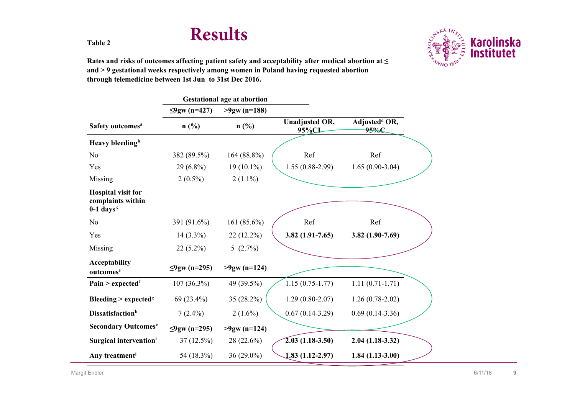## **Results**



**Rates and risks of outcomes affecting patient safety and acceptability after medical abortion at ≤ and > 9 gestational weeks respectively among women in Poland having requested abortion through telemedicine between 1st Jun to 31st Dec 2016.**

|                                                                           |                 | <b>Gestational age at abortion</b> |                                |                                   |
|---------------------------------------------------------------------------|-----------------|------------------------------------|--------------------------------|-----------------------------------|
|                                                                           | $≤9$ gw (n=427) | $>9$ gw (n=188)                    |                                |                                   |
| Safety outcomes <sup>a</sup>                                              | n(%)            | $n$ (%)                            | <b>Unadjusted OR,</b><br>95%CI | Adjusted <sup>d</sup> OR,<br>95%C |
| Heavy bleeding <sup>b</sup>                                               |                 |                                    |                                |                                   |
| N <sub>0</sub>                                                            | 382 (89.5%)     | $164(88.8\%)$                      | Ref                            | Ref                               |
| Yes                                                                       | $29(6.8\%)$     | $19(10.1\%)$                       | $1.55(0.88-2.99)$              | $1.65(0.90-3.04)$                 |
| Missing                                                                   | $2(0.5\%)$      | $2(1.1\%)$                         |                                |                                   |
| <b>Hospital visit for</b><br>complaints within<br>$0-1$ days <sup>c</sup> |                 |                                    |                                |                                   |
| N <sub>o</sub>                                                            | 391 (91.6%)     | 161 $(85.6\%)$                     | Ref                            | Ref                               |
| Yes                                                                       | $14(3.3\%)$     | 22 (12.2%)                         | $3.82(1.91 - 7.65)$            | 3.82 $(1.90 - 7.69)$              |
| Missing                                                                   | $22(5.2\%)$     | $5(2.7\%)$                         |                                |                                   |
| <b>Acceptability</b><br>outcomes <sup>e</sup>                             | $≤9$ gw (n=295) | $>9$ gw (n=124)                    |                                |                                   |
| Pain > expected $f$                                                       | $107(36.3\%)$   | 49 (39.5%)                         | $1.15(0.75-1.77)$              | $1.11(0.71-1.71)$                 |
| <b>Bleeding &gt; expected<sup>g</sup></b>                                 | 69 (23.4%)      | 35 (28.2%)                         | $1.29(0.80-2.07)$              | $1.26(0.78-2.02)$                 |
| <b>Dissatisfaction</b> h                                                  | $7(2.4\%)$      | $2(1.6\%)$                         | $0.67(0.14-3.29)$              | $0.69(0.14-3.36)$                 |
| <b>Secondary Outcomese</b>                                                | $≤9$ gw (n=295) | $>9$ gw (n=124)                    |                                |                                   |
| Surgical intervention <sup>i</sup>                                        | 37(12.5%)       | 28 (22.6%)                         | $2.03(1.18-3.50)$              | $2.04(1.18-3.32)$                 |
| Any treatment <sup>j</sup>                                                | 54 (18.3%)      | 36 (29.0%)                         | $1.83(1.12-2.97)$              | $1.84(1.13-3.00)$                 |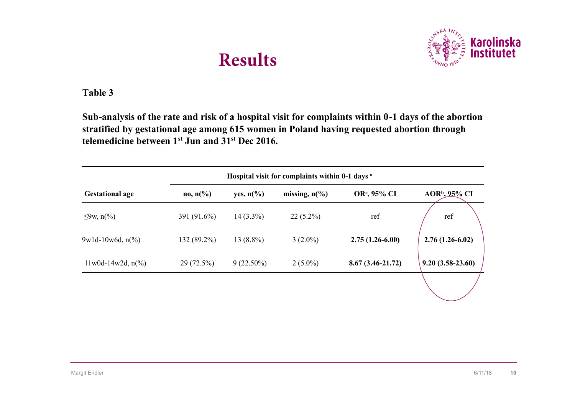# **Results**



**Table 3**

**Sub-analysis of the rate and risk of a hospital visit for complaints within 0-1 days of the abortion stratified by gestational age among 615 women in Poland having requested abortion through telemedicine between 1st Jun and 31st Dec 2016.**

| <b>Gestational age</b>       | $no, n\frac{6}{6}$ | yes, $n\frac{6}{6}$ | missing, $n\binom{0}{0}$ | OR <sup>c</sup> , 95% CI | $AOR^b$ , 95% CI   |
|------------------------------|--------------------|---------------------|--------------------------|--------------------------|--------------------|
| $\leq 9$ w, n(%)             | 391 (91.6%)        | $14(3.3\%)$         | $22(5.2\%)$              | ref                      | ref                |
| $9w1d-10w6d, n(%$            | 132 (89.2%)        | $13(8.8\%)$         | $3(2.0\%)$               | $2.75(1.26-6.00)$        | $2.76(1.26-6.02)$  |
| $11 \text{w0d-14w2d}$ , n(%) | $29(72.5\%)$       | $9(22.50\%)$        | $2(5.0\%)$               | $8.67(3.46-21.72)$       | $9.20(3.58-23.60)$ |
|                              |                    |                     |                          |                          |                    |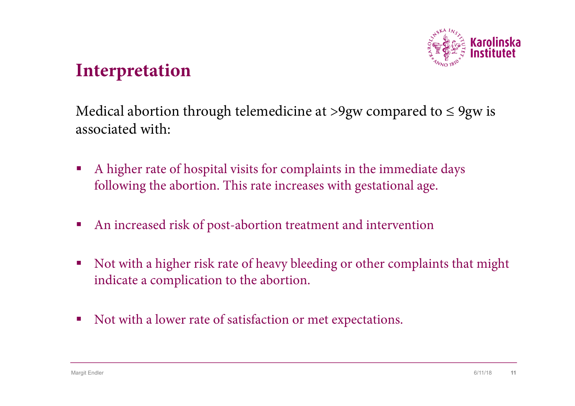

### **Interpretation**

Medical abortion through telemedicine at >9gw compared to  $\leq$  9gw is associated with:

- § A higher rate of hospital visits for complaints in the immediate days following the abortion. This rate increases with gestational age.
- An increased risk of post-abortion treatment and intervention
- Not with a higher risk rate of heavy bleeding or other complaints that might indicate a complication to the abortion.
- Not with a lower rate of satisfaction or met expectations.